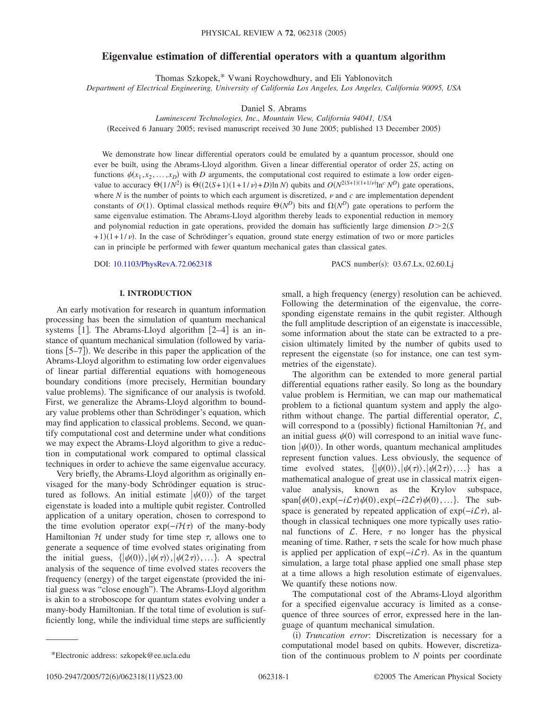# **Eigenvalue estimation of differential operators with a quantum algorithm**

Thomas Szkopek,\* Vwani Roychowdhury, and Eli Yablonovitch

*Department of Electrical Engineering, University of California Los Angeles, Los Angeles, California 90095, USA*

Daniel S. Abrams

*Luminescent Technologies, Inc., Mountain View, California 94041, USA*

(Received 6 January 2005; revised manuscript received 30 June 2005; published 13 December 2005)

We demonstrate how linear differential operators could be emulated by a quantum processor, should one ever be built, using the Abrams-Lloyd algorithm. Given a linear differential operator of order 2*S*, acting on functions  $\psi(x_1, x_2, \ldots, x_D)$  with *D* arguments, the computational cost required to estimate a low order eigenvalue to accuracy  $\Theta(1/N^2)$  is  $\Theta((2(S+1)(1+1/\nu)+D)\ln N)$  qubits and  $O(N^{2(S+1)(1+1/\nu)}\ln^c N^D)$  gate operations, where  $N$  is the number of points to which each argument is discretized,  $\nu$  and  $c$  are implementation dependent constants of  $O(1)$ . Optimal classical methods require  $\Theta(N^D)$  bits and  $\Omega(N^D)$  gate operations to perform the same eigenvalue estimation. The Abrams-Lloyd algorithm thereby leads to exponential reduction in memory and polynomial reduction in gate operations, provided the domain has sufficiently large dimension  $D > 2(S)$  $+1(1+1/\nu)$ . In the case of Schrödinger's equation, ground state energy estimation of two or more particles can in principle be performed with fewer quantum mechanical gates than classical gates.

DOI: [10.1103/PhysRevA.72.062318](http://dx.doi.org/10.1103/PhysRevA.72.062318)

PACS number(s): 03.67.Lx, 02.60.Lj

## **I. INTRODUCTION**

An early motivation for research in quantum information processing has been the simulation of quantum mechanical systems [1]. The Abrams-Lloyd algorithm  $[2-4]$  is an instance of quantum mechanical simulation (followed by variations [5–7]). We describe in this paper the application of the Abrams-Lloyd algorithm to estimating low order eigenvalues of linear partial differential equations with homogeneous boundary conditions (more precisely, Hermitian boundary value problems). The significance of our analysis is twofold. First, we generalize the Abrams-Lloyd algorithm to boundary value problems other than Schrödinger's equation, which may find application to classical problems. Second, we quantify computational cost and determine under what conditions we may expect the Abrams-Lloyd algorithm to give a reduction in computational work compared to optimal classical techniques in order to achieve the same eigenvalue accuracy.

Very briefly, the Abrams-Lloyd algorithm as originally envisaged for the many-body Schrödinger equation is structured as follows. An initial estimate  $|\psi(0)\rangle$  of the target eigenstate is loaded into a multiple qubit register. Controlled application of a unitary operation, chosen to correspond to the time evolution operator exp( $-i\mathcal{H}\tau$ ) of the many-body Hamiltonian  $H$  under study for time step  $\tau$ , allows one to generate a sequence of time evolved states originating from the initial guess,  $\{|\psi(0)\rangle, |\psi(\tau)\rangle, |\psi(2\tau)\rangle, ...\}$ . A spectral analysis of the sequence of time evolved states recovers the frequency (energy) of the target eigenstate (provided the initial guess was "close enough"). The Abrams-Lloyd algorithm is akin to a stroboscope for quantum states evolving under a many-body Hamiltonian. If the total time of evolution is sufficiently long, while the individual time steps are sufficiently

small, a high frequency (energy) resolution can be achieved. Following the determination of the eigenvalue, the corresponding eigenstate remains in the qubit register. Although the full amplitude description of an eigenstate is inaccessible, some information about the state can be extracted to a precision ultimately limited by the number of qubits used to represent the eigenstate (so for instance, one can test symmetries of the eigenstate).

The algorithm can be extended to more general partial differential equations rather easily. So long as the boundary value problem is Hermitian, we can map our mathematical problem to a fictional quantum system and apply the algorithm without change. The partial differential operator,  $\mathcal{L}$ , will correspond to a (possibly) fictional Hamiltonian  $H$ , and an initial guess  $\psi(0)$  will correspond to an initial wave function  $|\psi(0)\rangle$ . In other words, quantum mechanical amplitudes represent function values. Less obviously, the sequence of time evolved states,  $\{|\psi(0)\rangle, |\psi(\tau)\rangle, |\psi(2\tau)\rangle, ...\}$  has a mathematical analogue of great use in classical matrix eigenvalue analysis, known as the Krylov subspace,  $\text{span}\{\psi(0), \exp(-i\mathcal{L}\tau)\psi(0), \exp(-i2\mathcal{L}\tau)\psi(0), ...\}$ . The subspace is generated by repeated application of exp( $-i\mathcal{L}\tau$ ), although in classical techniques one more typically uses rational functions of  $\mathcal{L}$ . Here,  $\tau$  no longer has the physical meaning of time. Rather,  $\tau$  sets the scale for how much phase is applied per application of exp−*i*L-. As in the quantum simulation, a large total phase applied one small phase step at a time allows a high resolution estimate of eigenvalues. We quantify these notions now.

The computational cost of the Abrams-Lloyd algorithm for a specified eigenvalue accuracy is limited as a consequence of three sources of error, expressed here in the language of quantum mechanical simulation.

(i) Truncation error: Discretization is necessary for a computational model based on qubits. However, discretiza- \*Electronic address: szkopek@ee.ucla.edu tion of the continuous problem to *N* points per coordinate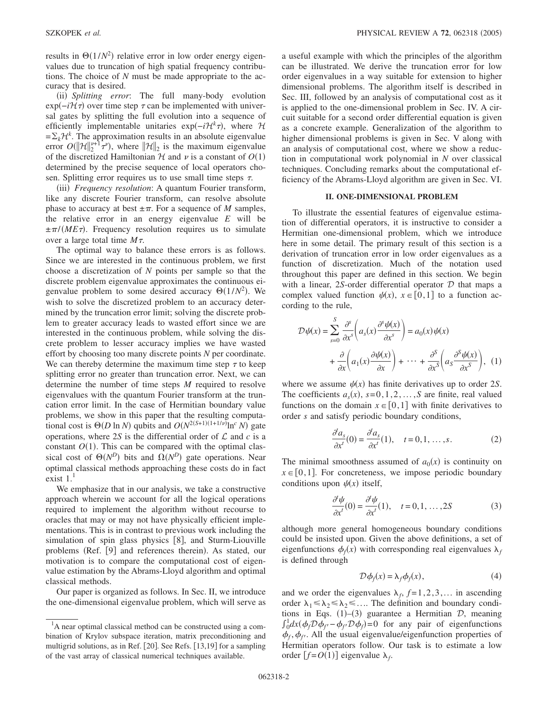results in  $\Theta(1/N^2)$  relative error in low order energy eigenvalues due to truncation of high spatial frequency contributions. The choice of *N* must be made appropriate to the accuracy that is desired.

(ii) Splitting error: The full many-body evolution  $\exp(-i\mathcal{H}\tau)$  over time step  $\tau$  can be implemented with universal gates by splitting the full evolution into a sequence of efficiently implementable unitaries  $exp(-i\mathcal{H}^k \tau)$ , where  $\mathcal{H}$  $=\sum_{k} {\mathcal{H}}^{k}$ . The approximation results in an absolute eigenvalue error  $O(||\mathcal{H}||_2^{v+1} \tau^v)$ , where  $||\mathcal{H}||_2$  is the maximum eigenvalue of the discretized Hamiltonian  $H$  and  $\nu$  is a constant of  $O(1)$ determined by the precise sequence of local operators chosen. Splitting error requires us to use small time steps  $\tau$ .

(iii) Frequency resolution: A quantum Fourier transform, like any discrete Fourier transform, can resolve absolute phase to accuracy at best  $\pm \pi$ . For a sequence of *M* samples, the relative error in an energy eigenvalue *E* will be  $\pm \pi/(ME\tau)$ . Frequency resolution requires us to simulate over a large total time  $M\tau$ .

The optimal way to balance these errors is as follows. Since we are interested in the continuous problem, we first choose a discretization of *N* points per sample so that the discrete problem eigenvalue approximates the continuous eigenvalue problem to some desired accuracy  $\Theta(1/N^2)$ . We wish to solve the discretized problem to an accuracy determined by the truncation error limit; solving the discrete problem to greater accuracy leads to wasted effort since we are interested in the continuous problem, while solving the discrete problem to lesser accuracy implies we have wasted effort by choosing too many discrete points *N* per coordinate. We can thereby determine the maximum time step  $\tau$  to keep splitting error no greater than truncation error. Next, we can determine the number of time steps *M* required to resolve eigenvalues with the quantum Fourier transform at the truncation error limit. In the case of Hermitian boundary value problems, we show in this paper that the resulting computational cost is  $\Theta(D \ln N)$  qubits and  $O(N^{2(S+1)(1+1/\nu)} \ln^c N)$  gate operations, where 2*S* is the differential order of  $\mathcal L$  and  $c$  is a constant  $O(1)$ . This can be compared with the optimal classical cost of  $\Theta(N^D)$  bits and  $\Omega(N^D)$  gate operations. Near optimal classical methods approaching these costs do in fact exist  $1<sup>1</sup>$ 

We emphasize that in our analysis, we take a constructive approach wherein we account for all the logical operations required to implement the algorithm without recourse to oracles that may or may not have physically efficient implementations. This is in contrast to previous work including the simulation of spin glass physics  $[8]$ , and Sturm-Liouville problems (Ref. [9] and references therein). As stated, our motivation is to compare the computational cost of eigenvalue estimation by the Abrams-Lloyd algorithm and optimal classical methods.

Our paper is organized as follows. In Sec. II, we introduce the one-dimensional eigenvalue problem, which will serve as a useful example with which the principles of the algorithm can be illustrated. We derive the truncation error for low order eigenvalues in a way suitable for extension to higher dimensional problems. The algorithm itself is described in Sec. III, followed by an analysis of computational cost as it is applied to the one-dimensional problem in Sec. IV. A circuit suitable for a second order differential equation is given as a concrete example. Generalization of the algorithm to higher dimensional problems is given in Sec. V along with an analysis of computational cost, where we show a reduction in computational work polynomial in *N* over classical techniques. Concluding remarks about the computational efficiency of the Abrams-Lloyd algorithm are given in Sec. VI.

## **II. ONE-DIMENSIONAL PROBLEM**

To illustrate the essential features of eigenvalue estimation of differential operators, it is instructive to consider a Hermitian one-dimensional problem, which we introduce here in some detail. The primary result of this section is a derivation of truncation error in low order eigenvalues as a function of discretization. Much of the notation used throughout this paper are defined in this section. We begin with a linear, 2*S*-order differential operator  $D$  that maps a complex valued function  $\psi(x)$ ,  $x \in [0,1]$  to a function according to the rule,

$$
\mathcal{D}\psi(x) = \sum_{s=0}^{S} \frac{\partial^{s}}{\partial x^{s}} \left( a_{s}(x) \frac{\partial^{s} \psi(x)}{\partial x^{s}} \right) = a_{0}(x) \psi(x)
$$

$$
+ \frac{\partial}{\partial x} \left( a_{1}(x) \frac{\partial \psi(x)}{\partial x} \right) + \dots + \frac{\partial^{S}}{\partial x^{S}} \left( a_{S} \frac{\partial^{S} \psi(x)}{\partial x^{S}} \right), (1)
$$

where we assume  $\psi(x)$  has finite derivatives up to order 2*S*. The coefficients  $a_s(x)$ ,  $s=0,1,2,...,S$  are finite, real valued functions on the domain  $x \in [0,1]$  with finite derivatives to order *s* and satisfy periodic boundary conditions,

$$
\frac{\partial^t a_s}{\partial x^t}(0) = \frac{\partial^t a_s}{\partial x^t}(1), \quad t = 0, 1, \dots, s.
$$
 (2)

The minimal smoothness assumed of  $a_0(x)$  is continuity on  $x \in [0,1]$ . For concreteness, we impose periodic boundary conditions upon  $\psi(x)$  itself,

$$
\frac{\partial^t \psi}{\partial x^t}(0) = \frac{\partial^t \psi}{\partial x^t}(1), \quad t = 0, 1, ..., 2S
$$
 (3)

although more general homogeneous boundary conditions could be insisted upon. Given the above definitions, a set of eigenfunctions  $\phi_f(x)$  with corresponding real eigenvalues  $\lambda_f$ is defined through

$$
\mathcal{D}\phi_f(x) = \lambda_f \phi_f(x),\tag{4}
$$

and we order the eigenvalues  $\lambda_f$ ,  $f=1, 2, 3, \ldots$  in ascending order  $\lambda_1 \leq \lambda_2 \leq \ldots$  The definition and boundary conditions in Eqs.  $(1)$ – $(3)$  guarantee a Hermitian  $D$ , meaning  $\int_0^1 dx (\phi_f D \phi_f - \phi_f D \phi_f) = 0$  for any pair of eigenfunctions  $\phi_f$ ,  $\phi_{f'}$ . All the usual eigenvalue/eigenfunction properties of Hermitian operators follow. Our task is to estimate a low order  $[f=O(1)]$  eigenvalue  $\lambda_f$ .

<sup>&</sup>lt;sup>1</sup>A near optimal classical method can be constructed using a combination of Krylov subspace iteration, matrix preconditioning and multigrid solutions, as in Ref.  $[20]$ . See Refs.  $[13,19]$  for a sampling of the vast array of classical numerical techniques available.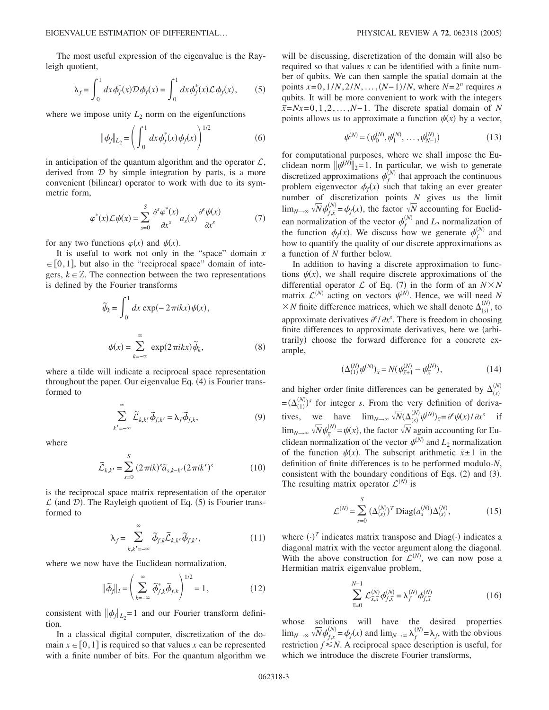The most useful expression of the eigenvalue is the Rayleigh quotient,

$$
\lambda_f = \int_0^1 dx \phi_f^*(x) \mathcal{D}\phi_f(x) = \int_0^1 dx \phi_f^*(x) \mathcal{L}\phi_f(x), \qquad (5)
$$

where we impose unity  $L_2$  norm on the eigenfunctions

$$
\|\phi_f\|_{L_2} = \left(\int_0^1 dx \phi_f^*(x) \phi_f(x)\right)^{1/2} \tag{6}
$$

in anticipation of the quantum algorithm and the operator  $\mathcal{L}$ , derived from  $D$  by simple integration by parts, is a more convenient (bilinear) operator to work with due to its symmetric form,

$$
\varphi^*(x)\mathcal{L}\psi(x) = \sum_{s=0}^{S} \frac{\partial^s \varphi^*(x)}{\partial x^s} a_s(x) \frac{\partial^s \psi(x)}{\partial x^s}
$$
(7)

for any two functions  $\varphi(x)$  and  $\psi(x)$ .

It is useful to work not only in the "space" domain *x*  $\in [0,1]$ , but also in the "reciprocal space" domain of integers,  $k \in \mathbb{Z}$ . The connection between the two representations is defined by the Fourier transforms

$$
\widetilde{\psi}_k = \int_0^1 dx \exp(-2\pi ikx)\psi(x),
$$

$$
\psi(x) = \sum_{k=-\infty}^{\infty} \exp(2\pi ikx)\widetilde{\psi}_k,
$$
 (8)

where a tilde will indicate a reciprocal space representation throughout the paper. Our eigenvalue Eq. (4) is Fourier transformed to

$$
\sum_{k'= -\infty}^{\infty} \widetilde{\mathcal{L}}_{k,k'} \widetilde{\phi}_{f,k'} = \lambda_f \widetilde{\phi}_{f,k},
$$
\n(9)

where

$$
\widetilde{\mathcal{L}}_{k,k'} = \sum_{s=0}^{S} (2\pi i k)^s \widetilde{a}_{s,k-k'} (2\pi i k')^s
$$
\n(10)

is the reciprocal space matrix representation of the operator  $\mathcal{L}$  (and  $\mathcal{D}$ ). The Rayleigh quotient of Eq. (5) is Fourier transformed to

$$
\lambda_f = \sum_{k,k'= -\infty}^{\infty} \tilde{\phi}_{f,k} \tilde{\mathcal{L}}_{k,k'} \tilde{\phi}_{f,k'},
$$
 (11)

where we now have the Euclidean normalization,

$$
\|\widetilde{\phi}_f\|_2 = \left(\sum_{k=-\infty}^{\infty} \widetilde{\phi}_{f,k}^* \widetilde{\phi}_{f,k}\right)^{1/2} = 1, \qquad (12)
$$

consistent with  $\|\phi_f\|_{L_2} = 1$  and our Fourier transform definition.

In a classical digital computer, discretization of the domain  $x \in [0,1]$  is required so that values x can be represented with a finite number of bits. For the quantum algorithm we will be discussing, discretization of the domain will also be required so that values *x* can be identified with a finite number of qubits. We can then sample the spatial domain at the points  $x=0, 1/N, 2/N, ..., (N-1)/N$ , where  $N=2^n$  requires *n* qubits. It will be more convenient to work with the integers *¯x*=*Nx*=0,1,2,...,*N*− 1. The discrete spatial domain of *<sup>N</sup>* points allows us to approximate a function  $\psi(x)$  by a vector,

$$
\psi^{(N)} = (\psi_0^{(N)}, \psi_1^{(N)}, \dots, \psi_{N-1}^{(N)})
$$
\n(13)

for computational purposes, where we shall impose the Euclidean norm  $\|\psi^{(N)}\|_2 = 1$ . In particular, we wish to generate discretized approximations  $\phi_f^{(N)}$  that approach the continuous problem eigenvector  $\phi_f(x)$  such that taking an ever greater number of discretization points  $\overline{N}$  gives us the limit  $\lim_{N\to\infty}\sqrt{N}\phi_{f,\overline{x}}^{(N)}$  $\oint_{f,\bar{x}}^{(N)} = \phi_f(x)$ , the factor  $\sqrt{N}$  accounting for Euclidean normalization of the vector  $\phi_f^{(N)}$  and  $L_2$  normalization of the function  $\phi_f(x)$ . We discuss how we generate  $\phi_f^{(N)}$  and how to quantify the quality of our discrete approximations as a function of *N* further below.

In addition to having a discrete approximation to functions  $\psi(x)$ , we shall require discrete approximations of the differential operator  $\mathcal L$  of Eq. (7) in the form of an  $N \times N$ matrix  $\mathcal{L}^{(N)}$  acting on vectors  $\psi^{(N)}$ . Hence, we will need *N*  $\times N$  finite difference matrices, which we shall denote  $\Delta_{(s)}^{(N)}$ , to approximate derivatives  $\partial^s/\partial x^s$ . There is freedom in choosing finite differences to approximate derivatives, here we (arbitrarily) choose the forward difference for a concrete example,

$$
(\Delta_{(1)}^{(N)} \psi^{(N)})_{\bar{x}} = N(\psi_{\bar{x}+1}^{(N)} - \psi_{\bar{x}}^{(N)}), \tag{14}
$$

and higher order finite differences can be generated by  $\Delta_{(s)}^{(N)}$  $=(\Delta_{(1)}^{(N)})^s$  for integer *s*. From the very definition of derivatives, we have  $\lim_{N\to\infty} \sqrt{N}(\Delta_{(s)}^{(N)}\psi^{(N)})_{\overline{x}} = \partial^s \psi(x)/\partial x^s$  if  $\lim_{N\to\infty} \sqrt{N}\psi_{\overline{x}}^{(1)}$  $\psi_x^{(N)} = \psi(x)$ , the factor  $\sqrt{N}$  again accounting for Euclidean normalization of the vector  $\psi^{(N)}$  and  $L_2$  normalization of the function  $\psi(x)$ . The subscript arithmetic  $\bar{x} \pm 1$  in the definition of finite differences is to be performed modulo-*N*, consistent with the boundary conditions of Eqs.  $(2)$  and  $(3)$ . The resulting matrix operator  $\mathcal{L}^{(N)}$  is

$$
\mathcal{L}^{(N)} = \sum_{s=0}^{S} (\Delta_{(s)}^{(N)})^T \text{Diag}(a_s^{(N)}) \Delta_{(s)}^{(N)},
$$
(15)

where  $(\cdot)^T$  indicates matrix transpose and Diag $(\cdot)$  indicates a diagonal matrix with the vector argument along the diagonal. With the above construction for  $\mathcal{L}^{(N)}$ , we can now pose a Hermitian matrix eigenvalue problem,

$$
\sum_{\bar{x}=0}^{N-1} \mathcal{L}_{\bar{x},\bar{x}}^{(N)} \phi_{f,\bar{x}}^{(N)} = \lambda_f^{(N)} \phi_{f,\bar{x}}^{(N)}
$$
(16)

whose solutions will have the desired properties  $\lim_{N\to\infty} \sqrt{N} \phi_{f,\bar{x}}^{(N)} = \phi_f(x)$  and  $\lim_{N\to\infty} \lambda_f^{(N)} = \lambda_f$ , with the obvious restriction  $f \leq N$ . A reciprocal space description is useful, for which we introduce the discrete Fourier transforms,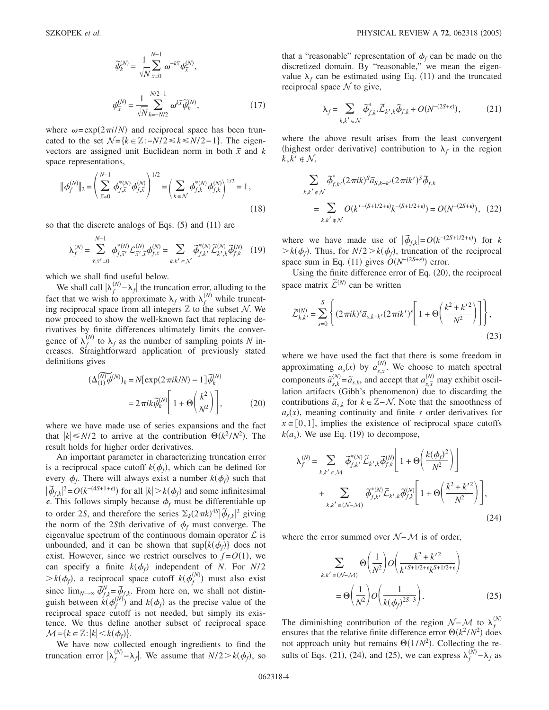$$
\widetilde{\psi}_{k}^{(N)} = \frac{1}{\sqrt{N}} \sum_{\bar{x}=0}^{N-1} \omega^{-k\bar{x}} \psi_{\bar{x}}^{(N)},
$$
  

$$
\psi_{\bar{x}}^{(N)} = \frac{1}{\sqrt{N}} \sum_{k=-N/2}^{N/2-1} \omega^{k\bar{x}} \widetilde{\psi}_{k}^{(N)},
$$
(17)

where  $\omega = \exp(2\pi i/N)$  and reciprocal space has been truncated to the set  $\mathcal{N} = \{k \in \mathbb{Z} : -N/2 \le k \le N/2 - 1\}$ . The eigenvectors are assigned unit Euclidean norm in both  $\bar{x}$  and  $k$ space representations,

$$
\|\phi_f^{(N)}\|_2 = \left(\sum_{\bar{x}=0}^{N-1} \phi_{f,\bar{x}}^{*(N)} \phi_{f,\bar{x}}^{(N)}\right)^{1/2} = \left(\sum_{k \in \mathcal{N}} \phi_{f,k}^{*(N)} \phi_{f,k}^{(N)}\right)^{1/2} = 1,
$$
\n(18)

so that the discrete analogs of Eqs.  $(5)$  and  $(11)$  are

$$
\lambda_f^{(N)} = \sum_{\bar{x}, \bar{x}^{'}=0}^{N-1} \phi_{f, \bar{x}'}^{*(N)} \mathcal{L}_{\bar{x}^{'}, \bar{x}}^{(N)} \phi_{f, \bar{x}}^{(N)} = \sum_{k, k^{'} \in \mathcal{N}} \tilde{\phi}_{f, k'}^{*(N)} \tilde{\mathcal{L}}_{k', k}^{(N)} \tilde{\phi}_{f, k}^{(N)} \quad (19)
$$

which we shall find useful below.

We shall call  $|\lambda_f^{(N)} - \lambda_f|$  the truncation error, alluding to the fact that we wish to approximate  $\lambda_f$  with  $\lambda_f^{(N)}$  while truncating reciprocal space from all integers  $Z$  to the subset  $N$ . We now proceed to show the well-known fact that replacing derivatives by finite differences ultimately limits the convergence of  $\lambda_f^{(N)}$  to  $\lambda_f$  as the number of sampling points *N* increases. Straightforward application of previously stated<br>definitions gives<br> $(\Delta_{(1)}^{(N)} \psi^{(N)})_k = N[\exp(2\pi i k/N) - 1]\tilde{\psi}_k^{(N)}$ definitions gives

$$
\begin{aligned} \left(\Delta_{(1)}^{(\widetilde{N})}\widetilde{\psi}^{(N)}\right)_k &= N[\exp(2\pi ik/N) - 1]\widetilde{\psi}_k^{(N)}\\ &= 2\pi ik \widetilde{\psi}_k^{(N)} \left[1 + \Theta\left(\frac{k^2}{N^2}\right)\right],\end{aligned} \tag{20}
$$

where we have made use of series expansions and the fact that  $|k| \le N/2$  to arrive at the contribution  $\Theta(k^2/N^2)$ . The result holds for higher order derivatives.

An important parameter in characterizing truncation error is a reciprocal space cutoff  $k(\phi_f)$ , which can be defined for every  $\phi_f$ . There will always exist a number  $k(\phi_f)$  such that  $|\tilde{\phi}_{f,k}|^2 = O(k^{-(4S+1+\epsilon)})$  for all  $|k| > k(\phi_f)$  and some infinitesimal  $\epsilon$ . This follows simply because  $\phi_f$  must be differentiable up to order 2*S*, and therefore the series  $\Sigma_k(2\pi k)^{4S} |\vec{\phi}_{f,k}|^2$  giving the norm of the 2*Sth* derivative of  $\phi_f$  must converge. The eigenvalue spectrum of the continuous domain operator  $\mathcal L$  is unbounded, and it can be shown that  $\sup\{k(\phi_f)\}\)$  does not exist. However, since we restrict ourselves to  $f = O(1)$ , we can specify a finite  $k(\phi_f)$  independent of *N*. For *N*/2  $\gt k(\phi_f)$ , a reciprocal space cutoff  $k(\phi_f^{(N)})$  must also exist since  $\lim_{N\to\infty} \tilde{\phi}_{f,k}^N = \tilde{\phi}_{f,k}$ . From here on, we shall not distinguish between  $k(\phi_f^{(N)})$  and  $k(\phi_f)$  as the precise value of the reciprocal space cutoff is not needed, but simply its existence. We thus define another subset of reciprocal space  $\mathcal{M} = \{k \in \mathbb{Z} : |k| < k(\phi_f)\}.$ 

We have now collected enough ingredients to find the truncation error  $|\lambda_f^{(N)} - \lambda_f|$ . We assume that  $N/2 > k(\phi_f)$ , so

that a "reasonable" representation of  $\phi_f$  can be made on the discretized domain. By "reasonable," we mean the eigenvalue  $\lambda_f$  can be estimated using Eq. (11) and the truncated reciprocal space  $N$  to give,

$$
\lambda_f = \sum_{k,k' \in \mathcal{N}} \tilde{\phi}_{f,k'}^* \tilde{\mathcal{L}}_{k',k} \tilde{\phi}_{f,k} + O(N^{-(2S+\epsilon)}), \tag{21}
$$

where the above result arises from the least convergent (highest order derivative) contribution to  $\lambda_f$  in the region  $k, k' \notin \mathcal{N}$ ,

$$
\sum_{k,k' \in \mathcal{N}} \tilde{\phi}_{f,k'}^*(2\pi i k)^S \tilde{a}_{S,k-k'}(2\pi i k')^S \tilde{\phi}_{f,k}
$$
  
= 
$$
\sum_{k,k' \in \mathcal{N}} O(k'^{-(S+1/2+\epsilon)}k^{-(S+1/2+\epsilon)}) = O(N^{-(2S+\epsilon)}), (22)
$$

where we have made use of  $|\tilde{\phi}_{f,k}| = O(k^{-(2S+1/2+\epsilon)})$  for *k*  $\geq k(\phi_f)$ . Thus, for  $N/2 \geq k(\phi_f)$ , truncation of the reciprocal space sum in Eq. (11) gives  $O(N^{-(2S+\epsilon)})$  error.

Using the finite difference error of Eq.  $(20)$ , the reciprocal space matrix  $\tilde{\mathcal{L}}^{(N)}$  can be written

$$
\widetilde{\mathcal{L}}_{k,k'}^{(N)} = \sum_{s=0}^{S} \left\{ (2\pi i k)^s \widetilde{a}_{s,k-k'} (2\pi i k')^s \left[ 1 + \Theta \left( \frac{k^2 + k'^2}{N^2} \right) \right] \right\},\tag{23}
$$

where we have used the fact that there is some freedom in approximating  $a_s(x)$  by  $a_{s,\bar{x}}^{(N)}$ . We choose to match spectral components  $\tilde{a}_{s,k}^{(N)} = \tilde{a}_{s,k}$ , and accept that  $a_{s,\bar{x}}^{(N)}$  $\binom{N}{s}$  may exhibit oscillation artifacts (Gibb's phenomenon) due to discarding the contributions  $\tilde{a}_{s,k}$  for  $k \in \mathbb{Z} - \mathcal{N}$ . Note that the smoothness of  $a<sub>s</sub>(x)$ , meaning continuity and finite *s* order derivatives for  $x \in [0,1]$ , implies the existence of reciprocal space cutoffs  $k(a_s)$ . We use Eq. (19) to decompose,

$$
\lambda_f^{(N)} = \sum_{k,k' \in \mathcal{M}} \tilde{\phi}_{f,k'}^{*(N)} \tilde{\mathcal{L}}_{k',k} \tilde{\phi}_{f,k}^{(N)} \left[ 1 + \Theta \left( \frac{k(\phi_f)^2}{N^2} \right) \right]
$$
  
+ 
$$
\sum_{k,k' \in (\mathcal{N}-\mathcal{M})} \tilde{\phi}_{f,k'}^{*(N)} \tilde{\mathcal{L}}_{k',k} \tilde{\phi}_{f,k}^{(N)} \left[ 1 + \Theta \left( \frac{k^2 + k'^2}{N^2} \right) \right],
$$
(24)

where the error summed over N−M is of order,

$$
\sum_{k,k' \in (\mathcal{N}-\mathcal{M})} \Theta\left(\frac{1}{N^2}\right) O\left(\frac{k^2 + k'^2}{k'^{S+1/2+\epsilon} k^{S+1/2+\epsilon}}\right)
$$

$$
= \Theta\left(\frac{1}{N^2}\right) O\left(\frac{1}{k(\phi_f)^{2S-3}}\right).
$$
(25)

The diminishing contribution of the region  $\mathcal{N}-\mathcal{M}$  to  $\lambda_f^{(N)}$ ensures that the relative finite difference error  $\Theta(k^2 / N^2)$  does not approach unity but remains  $\Theta(1/N^2)$ . Collecting the results of Eqs. (21), (24), and (25), we can express  $\lambda_f^{(N)} - \lambda_f$  as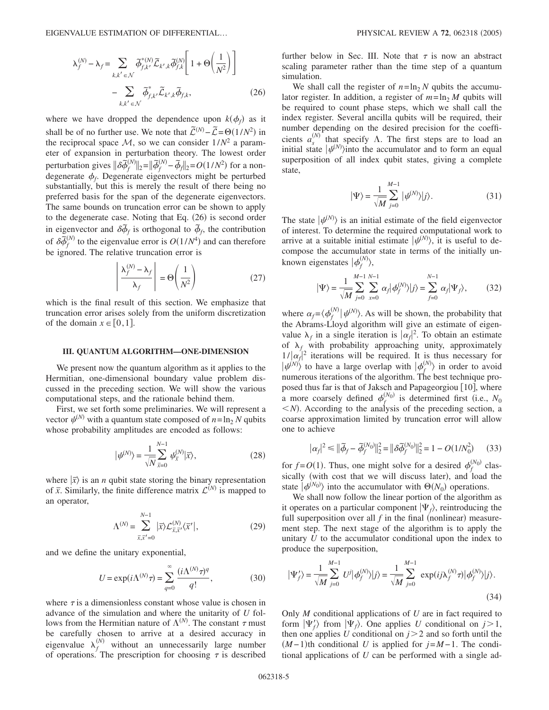$$
\lambda_f^{(N)} - \lambda_f = \sum_{k,k' \in \mathcal{N}} \tilde{\phi}_{f,k'}^{*(N)} \tilde{\mathcal{L}}_{k',k} \tilde{\phi}_{f,k}^{(N)} \left[ 1 + \Theta \left( \frac{1}{N^2} \right) \right] - \sum_{k,k' \in \mathcal{N}} \tilde{\phi}_{f,k'}^{*} \tilde{\mathcal{L}}_{k',k} \tilde{\phi}_{f,k},
$$
\n(26)

where we have dropped the dependence upon  $k(\phi_f)$  as it shall be of no further use. We note that  $\widetilde{\mathcal{L}}^{(N)}$  $-\tilde{\mathcal{L}} = \Theta(1/N^2)$  in the reciprocal space  $M$ , so we can consider  $1/N^2$  a parameter of expansion in perturbation theory. The lowest order perturbation gives  $\|\delta \tilde{\phi}^{\prime}_f\|$  $\|\hat{\phi}_f^{(N)}\|_2 = \|\tilde{\phi}_f^{(N)}\|_2$  $\frac{N(N)}{T} - \frac{\tilde{\phi}}{T}$  = *O*(1/*N*<sup>2</sup>) for a nondegenerate  $\phi_f$ . Degenerate eigenvectors might be perturbed substantially, but this is merely the result of there being no preferred basis for the span of the degenerate eigenvectors. The same bounds on truncation error can be shown to apply to the degenerate case. Noting that Eq. (26) is second order in eigenvector and  $\delta \tilde{\phi}_f$  is orthogonal to  $\tilde{\phi}_f$ , the contribution  $\int_{0}^{\pi}$  of  $\delta \tilde{\phi}$  $N_f^{(N)}$  to the eigenvalue error is  $O(1/N^4)$  and can therefore be ignored. The relative truncation error is

$$
\left| \frac{\lambda_f^{(N)} - \lambda_f}{\lambda_f} \right| = \Theta \left( \frac{1}{N^2} \right) \tag{27}
$$

which is the final result of this section. We emphasize that truncation error arises solely from the uniform discretization of the domain  $x \in [0,1]$ .

#### **III. QUANTUM ALGORITHM—ONE-DIMENSION**

We present now the quantum algorithm as it applies to the Hermitian, one-dimensional boundary value problem discussed in the preceding section. We will show the various computational steps, and the rationale behind them.

First, we set forth some preliminaries. We will represent a vector  $\psi^{(N)}$  with a quantum state composed of  $n = \ln_2 N$  qubits whose probability amplitudes are encoded as follows:

$$
|\psi^{(N)}\rangle = \frac{1}{\sqrt{N}} \sum_{\bar{x}=0}^{N-1} \psi_{\bar{x}}^{(N)} |\bar{x}\rangle, \qquad (28)
$$

where  $|\overline{x}\rangle$  is an *n* qubit state storing the binary representation of  $\bar{x}$ . Similarly, the finite difference matrix  $\mathcal{L}^{(N)}$  is mapped to an operator,

$$
\Lambda^{(N)} = \sum_{\bar{x}, \bar{x}'=0}^{N-1} |\bar{x}\rangle \mathcal{L}^{(N)}_{\bar{x}, \bar{x}'} \langle \bar{x}' |,
$$
 (29)

and we define the unitary exponential,

$$
U = \exp(i\Lambda^{(N)}\tau) = \sum_{q=0}^{\infty} \frac{(i\Lambda^{(N)}\tau)^q}{q!},
$$
 (30)

where  $\tau$  is a dimensionless constant whose value is chosen in advance of the simulation and where the unitarity of *U* follows from the Hermitian nature of  $\Lambda^{(N)}$ . The constant  $\tau$  must be carefully chosen to arrive at a desired accuracy in eigenvalue  $\lambda_f^{(N)}$  without an unnecessarily large number of operations. The prescription for choosing  $\tau$  is described further below in Sec. III. Note that  $\tau$  is now an abstract scaling parameter rather than the time step of a quantum simulation.

We shall call the register of  $n = \ln_2 N$  qubits the accumulator register. In addition, a register of  $m = \ln_2 M$  qubits will be required to count phase steps, which we shall call the index register. Several ancilla qubits will be required, their number depending on the desired precision for the coefficients  $a_s^{(N)}$  that specify  $\Lambda$ . The first steps are to load an initial state  $|\psi^{(N)}\rangle$  into the accumulator and to form an equal superposition of all index qubit states, giving a complete state,

$$
|\Psi\rangle = \frac{1}{\sqrt{M}} \sum_{j=0}^{M-1} |\psi^{(N)}\rangle |j\rangle.
$$
 (31)

The state  $|\psi^{(N)}\rangle$  is an initial estimate of the field eigenvector of interest. To determine the required computational work to arrive at a suitable initial estimate  $|\psi^{(N)}\rangle$ , it is useful to decompose the accumulator state in terms of the initially unknown eigenstates  $|\phi_f^{(N)}\rangle$ ,

$$
|\Psi\rangle = \frac{1}{\sqrt{M}} \sum_{j=0}^{M-1} \sum_{x=0}^{N-1} \alpha_j |\phi_j^{(N)}\rangle |j\rangle = \sum_{f=0}^{N-1} \alpha_f |\Psi_f\rangle, \tag{32}
$$

where  $\alpha_f = \langle \phi_f^{(N)} | \psi^{(N)} \rangle$ . As will be shown, the probability that the Abrams-Lloyd algorithm will give an estimate of eigenvalue  $\lambda_f$  in a single iteration is  $|\alpha_f|^2$ . To obtain an estimate of  $\lambda_f$  with probability approaching unity, approximately  $1/|\alpha_f|^2$  iterations will be required. It is thus necessary for  $|\psi^{(N)}\rangle$  to have a large overlap with  $|\phi_f^{(N)}\rangle$  in order to avoid numerous iterations of the algorithm. The best technique proposed thus far is that of Jaksch and Papageorgiou [10], where a more coarsely defined  $\phi_f^{(N_0)}$  is determined first (i.e.,  $N_0$  $\langle N \rangle$ . According to the analysis of the preceding section, a coarse approximation limited by truncation error will allow one to achieve

$$
|\alpha_f|^2 \le ||\tilde{\phi}_f - \tilde{\phi}_f^{(N_0)}||_2^2 = ||\delta \tilde{\phi}_f^{(N_0)}||_2^2 = 1 - O(1/N_0^2)
$$
 (33)

for  $f = O(1)$ . Thus, one might solve for a desired  $\phi_f^{(N_0)}$  classically (with cost that we will discuss later), and load the state  $|\phi^{(N_0)}\rangle$  into the accumulator with  $\Theta(N_0)$  operations.

We shall now follow the linear portion of the algorithm as it operates on a particular component  $|\Psi_f\rangle$ , reintroducing the full superposition over all  $f$  in the final (nonlinear) measurement step. The next stage of the algorithm is to apply the unitary *U* to the accumulator conditional upon the index to produce the superposition,

$$
|\Psi'_{f}\rangle = \frac{1}{\sqrt{M}} \sum_{j=0}^{M-1} U^{j} |\phi_{f}^{(N)}\rangle |j\rangle = \frac{1}{\sqrt{M}} \sum_{j=0}^{M-1} \exp(i j \lambda_{f}^{(N)} \tau) |\phi_{f}^{(N)}\rangle |j\rangle.
$$
\n(34)

Only *M* conditional applications of *U* are in fact required to form  $|\Psi'_f\rangle$  from  $|\Psi_f\rangle$ . One applies *U* conditional on  $j>1$ , then one applies *U* conditional on  $j > 2$  and so forth until the  $(M-1)$ <sup>th</sup> conditional *U* is applied for  $j=M-1$ . The conditional applications of *U* can be performed with a single ad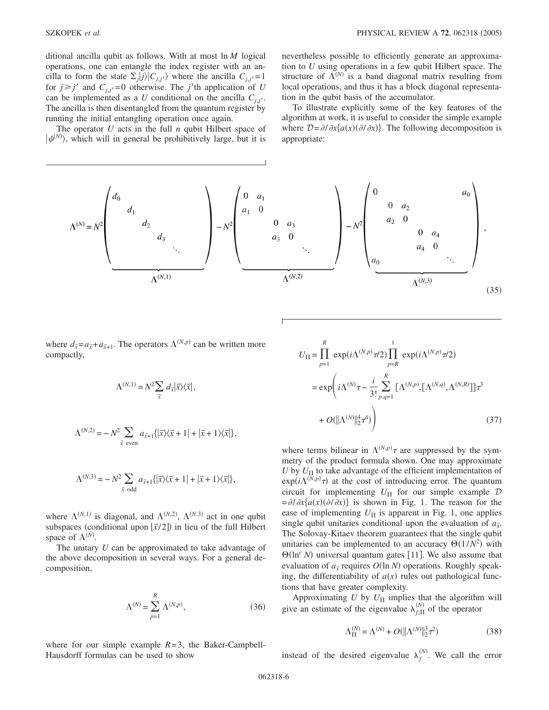ditional ancilla qubit as follows. With at most ln *M* logical operations, one can entangle the index register with an ancilla to form the state  $\Sigma_j |j\rangle |C_{j,j'}\rangle$  where the ancilla  $C_{j,j'}=1$ for  $j \ge j'$  and  $C_{j,j'}=0$  otherwise. The *j*'th application of *U* can be implemented as a *U* conditional on the ancilla  $C_{j,j'}$ . The ancilla is then disentangled from the quantum register by running the initial entangling operation once again.

The operator *U* acts in the full *n* qubit Hilbert space of  $|\psi^{(N)}\rangle$ , which will in general be prohibitively large, but it is

nevertheless possible to efficiently generate an approximation to *U* using operations in a few qubit Hilbert space. The structure of  $\Lambda^{(N)}$  is a band diagonal matrix resulting from local operations, and thus it has a block diagonal representation in the qubit basis of the accumulator.

To illustrate explicitly some of the key features of the algorithm at work, it is useful to consider the simple example where  $\mathcal{D} = \partial/\partial x \{a(x)(\partial/\partial x)\}\)$ . The following decomposition is appropriate:

$$
\Lambda^{(N)} = N^{2} \begin{pmatrix} d_{0} & & & & & & \\ & d_{1} & & & & & \\ & & d_{2} & & & & \\ & & & d_{3} & & & \\ & & & & \ddots & & \\ & & & & & \ddots & \\ & & & & & & \ddots \end{pmatrix} - N^{2} \begin{pmatrix} 0 & a_{1} & & & & & \\ & 0 & a_{1} & & & & \\ & & 0 & a_{3} & & & \\ & & & & 0 & a_{4} & & \\ & & & & & \ddots & \\ & & & & & & \ddots \end{pmatrix} - N^{2} \begin{pmatrix} 0 & & & & & a_{0} \\ & 0 & a_{2} & & & & \\ & & a_{2} & 0 & & & \\ & & & & a_{4} & 0 & & \\ & & & & & a_{4} & 0 & \\ & & & & & & \ddots \end{pmatrix},
$$
\n
$$
\Lambda^{(N,1)} \qquad (35)
$$

where  $d_{\bar{x}} = a_{\bar{x}} + a_{\bar{x}+1}$ . The operators  $\Lambda^{(N,p)}$  can be written more compactly,

$$
\Lambda^{(N,1)} = N^2 \sum_{\overline{x}} d_{\overline{x}} |\overline{x}\rangle \langle \overline{x}|,
$$

$$
\Lambda^{(N,2)} = -N^2 \sum_{\overline{x} \text{ even}} a_{\overline{x}+1} \{ |\overline{x}\rangle \langle \overline{x}+1| + |\overline{x}+1\rangle \langle \overline{x}| \},
$$

$$
\Lambda^{(N,3)} = -N^2 \sum_{\bar{x} \text{ odd}} a_{\bar{x}+1} \{ |\bar{x}\rangle \langle \bar{x}+1| + |\bar{x}+1\rangle \langle \bar{x}| \},
$$

where  $\Lambda^{(N,1)}$  is diagonal, and  $\Lambda^{(N,2)}$ ,  $\Lambda^{(N,3)}$  act in one qubit subspaces (conditional upon  $\overline{x}/2$ ) in lieu of the full Hilbert space of  $\Lambda^{(N)}$ .

The unitary *U* can be approximated to take advantage of the above decomposition in several ways. For a general decomposition,

$$
\Lambda^{(N)} = \sum_{p=1}^{R} \Lambda^{(N,p)},\tag{36}
$$

where for our simple example  $R=3$ , the Baker-Campbell-Hausdorff formulas can be used to show

$$
U_{\Pi} = \prod_{p=1}^{R} \exp(i\Lambda^{(N,p)}\pi/2) \prod_{p=R}^{1} \exp(i\Lambda^{(N,p)}\pi/2)
$$
  

$$
= \exp\left(i\Lambda^{(N)}\tau - \frac{i}{3!} \sum_{p,q=1}^{R} [\Lambda^{(N,p)}, [\Lambda^{(N,q)}, \Lambda^{(N,R)}]]\tau^{3}
$$
  

$$
+ O(||\Lambda^{(N)}||_{2}^{4}\tau^{4})\right)
$$
(37)

where terms bilinear in  $\Lambda^{(N,p)}\tau$  are suppressed by the symmetry of the product formula shown. One may approximate *U* by  $U_{\Pi}$  to take advantage of the efficient implementation of  $\exp(i\Lambda^{(\bar{N},p)}\tau)$  at the cost of introducing error. The quantum circuit for implementing  $U_{\Pi}$  for our simple example  $D$  $=\partial/\partial x$  {a(x)( $\partial/\partial x$ } is shown in Fig. 1. The reason for the ease of implementing  $U_{\Pi}$  is apparent in Fig. 1, one applies single qubit unitaries conditional upon the evaluation of  $a_{\overline{x}}$ . The Solovay-Kitaev theorem guarantees that the single qubit unitaries can be implemented to an accuracy  $\Theta(1/N^2)$  with  $\Theta(\ln^c N)$  universal quantum gates [11]. We also assume that evaluation of  $a_{\bar{x}}$  requires  $O(\ln N)$  operations. Roughly speaking, the differentiability of  $a(x)$  rules out pathological functions that have greater complexity.

Approximating *U* by  $U_{\Pi}$  implies that the algorithm will give an estimate of the eigenvalue  $\lambda_{f,\Pi}^{(N)}$  of the operator

$$
\Lambda_{\Pi}^{(N)} = \Lambda^{(N)} + O(||\Lambda^{(N)}||_2^3 \tau^2)
$$
\n(38)

instead of the desired eigenvalue  $\lambda_f^{(N)}$ . We call the error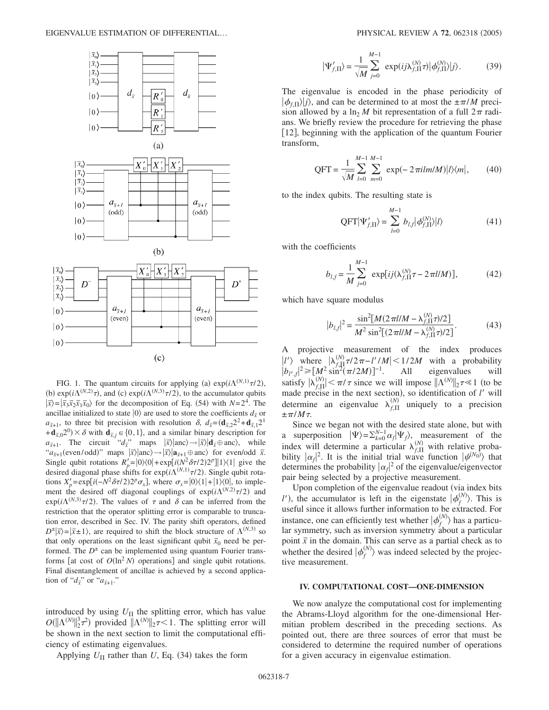

FIG. 1. The quantum circuits for applying (a)  $\exp(i\Lambda^{(N,1)}\tau/2)$ , (b)  $\exp(i\Lambda^{(N,2)}\tau)$ , and (c)  $\exp(i\Lambda^{(N,3)}\tau/2)$ , to the accumulator qubits  $|\overline{x}\rangle = |\overline{x}_3 \overline{x}_2 \overline{x}_1 \overline{x}_0\rangle$  for the decomposition of Eq. (54) with  $N=2^4$ . The ancillae initialized to state  $|0\rangle$  are used to store the coefficients  $d_{\bar{x}}$  or *a*<sub> $\bar{x}$ +1, to three bit precision with resolution  $\delta$ ,  $d_{\bar{x}} = (\mathbf{d}_{\bar{x},2} 2^2 + \mathbf{d}_{\bar{x},1} 2^1)$ </sub>  $+\mathbf{d}_{\bar{x},0}2^0$  ×  $\delta$  with  $\mathbf{d}_{\bar{x},j} \in \{0,1\}$ , and a similar binary description for  $a_{\bar{x}+1}$ . The circuit " $a_{\bar{x}}$ " maps  $|\bar{x}\rangle |$ anc $\rangle \rightarrow |\bar{x}\rangle |$ **d**<sub> $\bar{x} \oplus$  anc $\rangle$ , while</sub>  $a_{\bar{x}+1}$  (even/odd)" maps  $|\bar{x}\rangle$  anc)  $\rightarrow |\bar{x}\rangle |a_{\bar{x}+1}$   $\oplus$  anc) for even/odd  $\bar{x}$ . Single qubit rotations  $R'_p = |0\rangle\langle 0| + \exp[i(N^2 \delta \tau/2)2^p]|1\rangle\langle 1|$  give the desired diagonal phase shifts for  $exp(i\Lambda^{(N,1)}\tau/2)$ . Single qubit rotations  $X'_p = \exp[i(-N^2 \delta \tau/2)2^p \sigma_x]$ , where  $\sigma_x = |0\rangle\langle1| + |1\rangle\langle0|$ , to implement the desired off diagonal couplings of  $exp(i\Lambda^{(N,2)}\tau/2)$  and  $exp(i\Lambda^{(N,3)}\tau/2)$ . The values of  $\tau$  and  $\delta$  can be inferred from the restriction that the operator splitting error is comparable to truncation error, described in Sec. IV. The parity shift operators, defined  $D^{\pm}|\bar{x}\rangle = |\bar{x} \pm 1\rangle$ , are required to shift the block structure of  $\Lambda^{(N,3)}$  so that only operations on the least significant qubit  $\bar{x}_0$  need be performed. The  $D^{\pm}$  can be implemented using quantum Fourier transforms [at cost of  $O(\ln^2 N)$  operations] and single qubit rotations. Final disentanglement of ancillae is achieved by a second application of " $d_{\bar{x}}$ " or " $a_{\bar{x}+1}$ ."

introduced by using  $U_{\Pi}$  the splitting error, which has value  $O(||\Lambda^{(N)}||_2^3 \tau^2)$  provided  $||\Lambda^{(N)}||_2 \tau < 1$ . The splitting error will be shown in the next section to limit the computational efficiency of estimating eigenvalues.

Applying  $U_{\Pi}$  rather than *U*, Eq. (34) takes the form

$$
|\Psi'_{f,\Pi}\rangle = \frac{1}{\sqrt{M}} \sum_{j=0}^{M-1} \exp(i j \lambda_{f,\Pi}^{(N)} \tau) |\phi_{f,\Pi}^{(N)}\rangle |j\rangle.
$$
 (39)

The eigenvalue is encoded in the phase periodicity of  $|\phi_{f,\Pi}\rangle|j\rangle$ , and can be determined to at most the  $\pm \pi/M$  precision allowed by a  $\ln_2 M$  bit representation of a full  $2\pi$  radians. We briefly review the procedure for retrieving the phase [12], beginning with the application of the quantum Fourier transform,

$$
QFT = \frac{1}{\sqrt{M}} \sum_{l=0}^{M-1} \sum_{m=0}^{M-1} \exp(-2\pi ilm/M)|l\rangle\langle m|, \qquad (40)
$$

to the index qubits. The resulting state is

$$
\text{QFT}|\Psi'_{f,\Pi}\rangle = \sum_{l=0}^{M-1} b_{l,f} |\phi_{f,\Pi}^{(N)}\rangle |l\rangle \tag{41}
$$

with the coefficients

$$
b_{l,f} = \frac{1}{M} \sum_{j=0}^{M-1} \exp[i j(\lambda_{f,\Pi}^{(N)} \tau - 2\pi l/M)], \tag{42}
$$

which have square modulus

$$
|b_{l,f}|^2 = \frac{\sin^2[M(2\pi l/M - \lambda_{f,\Pi}^{(N)}\tau)/2]}{M^2 \sin^2[(2\pi l/M - \lambda_{f,\Pi}^{(N)}\tau)/2]}.
$$
(43)

A projective measurement of the index produces  $|l'\rangle$  where  $\lambda f_H^{(N)} \tau/2\pi - l'/M| < 1/2M$  with a probability  $|b_{l',f}|^2 \geq [M^2 \sin^2(\pi/2M)]^{-1}$ . All eigenvalues will satisfy  $|\lambda_{f,\Pi}^{(N)}| < \pi/\tau$  since we will impose  $\|\Lambda^{(N)}\|_2 \tau \ll 1$  (to be made precise in the next section), so identification of  $l'$  will determine an eigenvalue  $\lambda_{f,\Pi}^{(N)}$  uniquely to a precision  $\pm \pi / M \tau$ .

Since we began not with the desired state alone, but with a superposition  $|\Psi\rangle = \sum_{k=0}^{N-1} \alpha_f |\Psi_j\rangle$ , measurement of the index will determine a particular  $\lambda_{f,\Pi}^{(N)}$  with relative probability  $|\alpha_f|^2$ . It is the initial trial wave function  $|\psi^{(N_0)}\rangle$  that determines the probability  $|\alpha_f|^2$  of the eigenvalue/eigenvector pair being selected by a projective measurement.

Upon completion of the eigenvalue readout (via index bits *l'*), the accumulator is left in the eigenstate  $|\phi_f^{(N)}\rangle$ . This is useful since it allows further information to be extracted. For instance, one can efficiently test whether  $|\phi_f^{(N)}\rangle$  has a particular symmetry, such as inversion symmetry about a particular point  $\bar{x}$  in the domain. This can serve as a partial check as to whether the desired  $| \phi_f^{(N)} \rangle$  was indeed selected by the projective measurement.

## **IV. COMPUTATIONAL COST—ONE-DIMENSION**

We now analyze the computational cost for implementing the Abrams-Lloyd algorithm for the one-dimensional Hermitian problem described in the preceding sections. As pointed out, there are three sources of error that must be considered to determine the required number of operations for a given accuracy in eigenvalue estimation.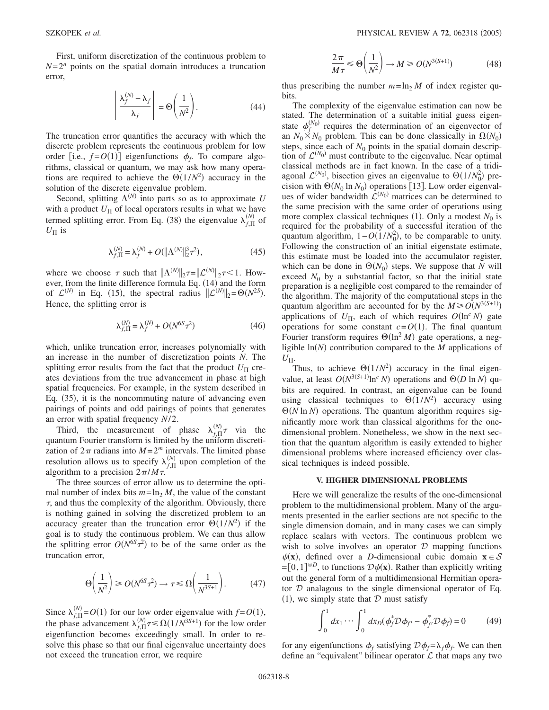First, uniform discretization of the continuous problem to  $N=2^n$  points on the spatial domain introduces a truncation error,

$$
\left| \frac{\lambda_f^{(N)} - \lambda_f}{\lambda_f} \right| = \Theta \left( \frac{1}{N^2} \right). \tag{44}
$$

The truncation error quantifies the accuracy with which the discrete problem represents the continuous problem for low order [i.e.,  $f = O(1)$ ] eigenfunctions  $\phi_f$ . To compare algorithms, classical or quantum, we may ask how many operations are required to achieve the  $\Theta(1/N^2)$  accuracy in the solution of the discrete eigenvalue problem.

Second, splitting  $\Lambda^{(N)}$  into parts so as to approximate U with a product  $U_{\Pi}$  of local operators results in what we have termed splitting error. From Eq. (38) the eigenvalue  $\lambda_{f,\Pi}^{(N)}$  of  $U_{\Pi}$  is

$$
\lambda_{f,\Pi}^{(N)} = \lambda_f^{(N)} + O(||\Lambda^{(N)}||_2^3 \tau^2),\tag{45}
$$

where we choose  $\tau$  such that  $||\Lambda^{(N)}||_2 \tau = ||\mathcal{L}^{(N)}||_2 \tau < 1$ . However, from the finite difference formula Eq. (14) and the form of  $\mathcal{L}^{(N)}$  in Eq. (15), the spectral radius  $\|\mathcal{L}^{(N)}\|_2 = \Theta(N^{2S})$ . Hence, the splitting error is

$$
\lambda_{f,\Pi}^{(N)} = \lambda_f^{(N)} + O(N^{6S}\tau^2)
$$
\n(46)

which, unlike truncation error, increases polynomially with an increase in the number of discretization points *N*. The splitting error results from the fact that the product  $U_{\Pi}$  creates deviations from the true advancement in phase at high spatial frequencies. For example, in the system described in Eq. (35), it is the noncommuting nature of advancing even pairings of points and odd pairings of points that generates an error with spatial frequency *N*/2.

Third, the measurement of phase  $\lambda_{f,\Pi}^{(N)} \tau$  via the quantum Fourier transform is limited by the uniform discretization of  $2\pi$  radians into  $M = 2^m$  intervals. The limited phase resolution allows us to specify  $\lambda_{f,\Pi}^{(N)}$  upon completion of the algorithm to a precision  $2\pi/M\tau$ .

The three sources of error allow us to determine the optimal number of index bits  $m = \ln_2 M$ , the value of the constant  $\tau$ , and thus the complexity of the algorithm. Obviously, there is nothing gained in solving the discretized problem to an accuracy greater than the truncation error  $\Theta(1/N^2)$  if the goal is to study the continuous problem. We can thus allow the splitting error  $O(N^{6S}\tau^2)$  to be of the same order as the truncation error,

$$
\Theta\left(\frac{1}{N^2}\right) \ge O(N^{6S}\tau^2) \to \tau \le \Omega\left(\frac{1}{N^{3S+1}}\right). \tag{47}
$$

Since  $\lambda_{f,\Pi}^{(N)} = O(1)$  for our low order eigenvalue with  $f = O(1)$ , the phase advancement  $\lambda_{f,\Pi}^{(N)} \tau \le \Omega(1/N^{3S+1})$  for the low order eigenfunction becomes exceedingly small. In order to resolve this phase so that our final eigenvalue uncertainty does not exceed the truncation error, we require

$$
\frac{2\pi}{M\tau} \leq \Theta\left(\frac{1}{N^2}\right) \to M \geq O(N^{3(S+1)})\tag{48}
$$

thus prescribing the number  $m = \ln_2 M$  of index register qubits.

The complexity of the eigenvalue estimation can now be stated. The determination of a suitable initial guess eigenstate  $\phi_f^{(N_0)}$  requires the determination of an eigenvector of an  $N_0 \times N_0$  problem. This can be done classically in  $\Omega(N_0)$ steps, since each of  $N_0$  points in the spatial domain description of  $\mathcal{L}^{(N_0)}$  must contribute to the eigenvalue. Near optimal classical methods are in fact known. In the case of a tridiagonal  $\mathcal{L}^{(N_0)}$ , bisection gives an eigenvalue to  $\Theta(1/N_0^2)$  precision with  $\Theta(N_0 \ln N_0)$  operations [13]. Low order eigenvalues of wider bandwidth  $\hat{\mathcal{L}}^{(N_0)}$  matrices can be determined to the same precision with the same order of operations using more complex classical techniques (1). Only a modest  $N_0$  is required for the probability of a successful iteration of the quantum algorithm,  $1 - O(1/N_0^2)$ , to be comparable to unity. Following the construction of an initial eigenstate estimate, this estimate must be loaded into the accumulator register, which can be done in  $\Theta(N_0)$  steps. We suppose that *N* will exceed  $N_0$  by a substantial factor, so that the initial state preparation is a negligible cost compared to the remainder of the algorithm. The majority of the computational steps in the quantum algorithm are accounted for by the  $M \ge O(N^{3(S+1)})$ applications of  $U_{\text{II}}$ , each of which requires  $O(\ln^c N)$  gate operations for some constant  $c = O(1)$ . The final quantum Fourier transform requires  $\Theta(\ln^2 M)$  gate operations, a negligible  $ln(N)$  contribution compared to the  $M$  applications of  $U_{\Pi}$ .

Thus, to achieve  $\Theta(1/N^2)$  accuracy in the final eigenvalue, at least  $O(N^{3(S+1)} \ln^c N)$  operations and  $\Theta(D \ln N)$  qubits are required. In contrast, an eigenvalue can be found using classical techniques to  $\Theta(1/N^2)$  accuracy using  $\Theta(N \ln N)$  operations. The quantum algorithm requires significantly more work than classical algorithms for the onedimensional problem. Nonetheless, we show in the next section that the quantum algorithm is easily extended to higher dimensional problems where increased efficiency over classical techniques is indeed possible.

### **V. HIGHER DIMENSIONAL PROBLEMS**

Here we will generalize the results of the one-dimensional problem to the multidimensional problem. Many of the arguments presented in the earlier sections are not specific to the single dimension domain, and in many cases we can simply replace scalars with vectors. The continuous problem we wish to solve involves an operator  $D$  mapping functions  $\psi(\mathbf{x})$ , defined over a *D*-dimensional cubic domain  $\mathbf{x} \in \mathcal{S}$  $=[0,1]^{\otimes D}$ , to functions  $D\psi(\mathbf{x})$ . Rather than explicitly writing out the general form of a multidimensional Hermitian operator  $D$  analagous to the single dimensional operator of Eq. (1), we simply state that  $D$  must satisfy

$$
\int_0^1 dx_1 \cdots \int_0^1 dx_D (\phi_f^* \mathcal{D} \phi_{f'} - \phi_{f'}^* \mathcal{D} \phi_f) = 0 \qquad (49)
$$

for any eigenfunctions  $\phi_f$  satisfying  $\mathcal{D}\phi_f = \lambda_f \phi_f$ . We can then define an "equivalent" bilinear operator  $\mathcal L$  that maps any two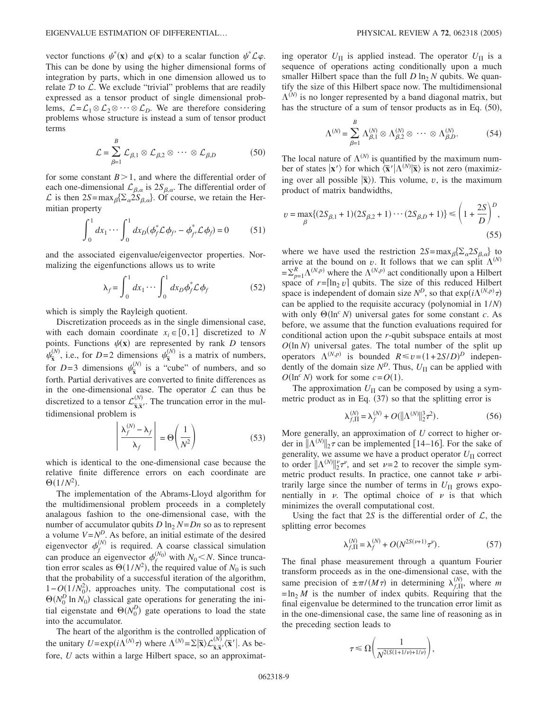vector functions  $\psi^*(\mathbf{x})$  and  $\varphi(\mathbf{x})$  to a scalar function  $\psi^* \mathcal{L} \varphi$ . This can be done by using the higher dimensional forms of integration by parts, which in one dimension allowed us to relate  $D$  to  $\mathcal{L}$ . We exclude "trivial" problems that are readily expressed as a tensor product of single dimensional problems,  $\mathcal{L} = \mathcal{L}_1 \otimes \mathcal{L}_2 \otimes \cdots \otimes \mathcal{L}_D$ . We are therefore considering problems whose structure is instead a sum of tensor product terms

$$
\mathcal{L} = \sum_{\beta=1}^{B} \mathcal{L}_{\beta,1} \otimes \mathcal{L}_{\beta,2} \otimes \cdots \otimes \mathcal{L}_{\beta,D} \tag{50}
$$

for some constant  $B > 1$ , and where the differential order of each one-dimensional  $\mathcal{L}_{\beta,\alpha}$  is  $2S_{\beta,\alpha}$ . The differential order of  $\mathcal{L}$  is then  $2S = \max_{\beta} {\sum_{\alpha} 2S_{\beta,\alpha}}$ . Of course, we retain the Hermitian property

$$
\int_0^1 dx_1 \cdots \int_0^1 dx_D (\phi_f^* \mathcal{L} \phi_{f'} - \phi_{f'}^* \mathcal{L} \phi_f) = 0 \qquad (51)
$$

and the associated eigenvalue/eigenvector properties. Normalizing the eigenfunctions allows us to write

$$
\lambda_f = \int_0^1 dx_1 \cdots \int_0^1 dx_D \phi_f^* \mathcal{L} \phi_f \tag{52}
$$

which is simply the Rayleigh quotient.

Discretization proceeds as in the single dimensional case, with each domain coordinate  $x_i \in [0,1]$  discretized to *N* points. Functions  $\psi(\mathbf{x})$  are represented by rank *D* tensors  $\psi_{\overline{x}}^{\circ}$  $\frac{N}{\bar{x}}$ , i.e., for *D*=2 dimensions  $\psi_{\bar{x}}^{(N)}$  $\frac{N}{\sigma}$  is a matrix of numbers, for  $D=3$  dimensions  $\psi_{\overline{x}}^{\mu}$  $\frac{N^{(N)}}{N}$  is a "cube" of numbers, and so forth. Partial derivatives are converted to finite differences as in the one-dimensional case. The operator  $\mathcal L$  can thus be discretized to a tensor  $\mathcal{L}_{\overline{\mathbf{x}}, \overline{\mathbf{x}}'}^{(N)}$  $\frac{N}{\sqrt{N}}$ . The truncation error in the multidimensional problem is

$$
\left| \frac{\lambda_f^{(N)} - \lambda_f}{\lambda_f} \right| = \Theta \left( \frac{1}{N^2} \right) \tag{53}
$$

which is identical to the one-dimensional case because the relative finite difference errors on each coordinate are  $\Theta(1/N^2)$ .

The implementation of the Abrams-Lloyd algorithm for the multidimensional problem proceeds in a completely analagous fashion to the one-dimensional case, with the number of accumulator qubits  $D \ln_2 N = Dn$  so as to represent a volume  $V = N^D$ . As before, an initial estimate of the desired eigenvector  $\phi_f^{(N)}$  is required. A coarse classical simulation can produce an eigenvector  $\phi_f^{(N_0)}$  with  $N_0 < N$ . Since truncation error scales as  $\Theta(1/N^2)$ , the required value of  $N_0$  is such that the probability of a successful iteration of the algorithm,  $1-O(1/N_0^2)$ , approaches unity. The computational cost is  $\Theta(N_0^D \ln N_0)$  classical gate operations for generating the initial eigenstate and  $\Theta(N_0^D)$  gate operations to load the state into the accumulator.

The heart of the algorithm is the controlled application of the unitary  $U = \exp(i\Lambda^{(N)}\tau)$  where  $\Lambda^{(N)} = \Sigma | \overline{\mathbf{x}} \rangle \mathcal{L}_{\overline{\mathbf{x}},\overline{\mathbf{x}}}^{(N)}$  $\frac{(N)}{\overline{x}}\frac{1}{N'}\left|\overline{x}'\right|$ . As before, *U* acts within a large Hilbert space, so an approximating operator  $U_{\Pi}$  is applied instead. The operator  $U_{\Pi}$  is a sequence of operations acting conditionally upon a much smaller Hilbert space than the full  $D \ln_2 N$  qubits. We quantify the size of this Hilbert space now. The multidimensional  $\Lambda^{(N)}$  is no longer represented by a band diagonal matrix, but has the structure of a sum of tensor products as in Eq. (50),

$$
\Lambda^{(N)} = \sum_{\beta=1}^{B} \Lambda^{(N)}_{\beta,1} \otimes \Lambda^{(N)}_{\beta,2} \otimes \cdots \otimes \Lambda^{(N)}_{\beta,D}.
$$
 (54)

The local nature of  $\Lambda^{(N)}$  is quantified by the maximum number of states  $|\mathbf{x}'\rangle$  for which  $\langle \bar{\mathbf{x}}' | \Lambda^{(N)} | \bar{\mathbf{x}} \rangle$  is not zero (maximizing over all possible  $|\overline{\mathbf{x}}\rangle$ ). This volume, *v*, is the maximum product of matrix bandwidths,

$$
v = \max_{\beta} \{ (2S_{\beta,1} + 1)(2S_{\beta,2} + 1) \cdots (2S_{\beta,D} + 1) \} \le \left( 1 + \frac{2S}{D} \right)^D,
$$
\n(55)

where we have used the restriction  $2S = max_{\beta} {\sum_{\alpha} 2S_{\beta,\alpha}}$  to arrive at the bound on *v*. It follows that we can split  $\Lambda^{(N)}$  $=\sum_{p=1}^{R} \Lambda^{(N,p)}$  where the  $\Lambda^{(N,p)}$  act conditionally upon a Hilbert space of  $r=[\ln_2 v]$  qubits. The size of this reduced Hilbert space is independent of domain size  $N^D$ , so that  $exp(i\Lambda^{(N,p)}\tau)$ can be applied to the requisite accuracy (polynomial in  $1/N$ ) with only  $\Theta(\ln^c N)$  universal gates for some constant *c*. As before, we assume that the function evaluations required for conditional action upon the *r*-qubit subspace entails at most  $O(\ln N)$  universal gates. The total number of the split up operators  $\Lambda^{(N,p)}$  is bounded  $R \le v = (1+2S/D)^D$  independently of the domain size  $N^D$ . Thus,  $U_{\Pi}$  can be applied with  $O(\ln^c N)$  work for some  $c = O(1)$ .

The approximation  $U_{\Pi}$  can be composed by using a symmetric product as in Eq.  $(37)$  so that the splitting error is

$$
\lambda_{f,\Pi}^{(N)} = \lambda_f^{(N)} + O(||\Lambda^{(N)}||_2^3 \tau^2). \tag{56}
$$

More generally, an approximation of *U* correct to higher order in  $\|\Lambda^{(N)}\|_2 \tau$  can be implemented [14–16]. For the sake of generality, we assume we have a product operator  $U_{\Pi}$  correct to order  $\|\Lambda^{(N)}\|_2^{\nu} \tau^{\nu}$ , and set  $\nu=2$  to recover the simple symmetric product results. In practice, one cannot take  $\nu$  arbitrarily large since the number of terms in  $U_{\Pi}$  grows exponentially in  $\nu$ . The optimal choice of  $\nu$  is that which minimizes the overall computational cost.

Using the fact that  $2S$  is the differential order of  $\mathcal{L}$ , the splitting error becomes

$$
\lambda_{f,\Pi}^{(N)} = \lambda_f^{(N)} + O(N^{2S(\nu+1)}\tau^{\nu}).
$$
\n(57)

The final phase measurement through a quantum Fourier transform proceeds as in the one-dimensional case, with the same precision of  $\pm \pi/(M\tau)$  in determining  $\lambda_{f,\Pi}^{(N)}$ , where *m*  $=$ ln<sub>2</sub> *M* is the number of index qubits. Requiring that the final eigenvalue be determined to the truncation error limit as in the one-dimensional case, the same line of reasoning as in the preceding section leads to

$$
\tau \leq \Omega \bigg( \frac{1}{N^{2(S(1+1/\nu)+1/\nu)}} \bigg),
$$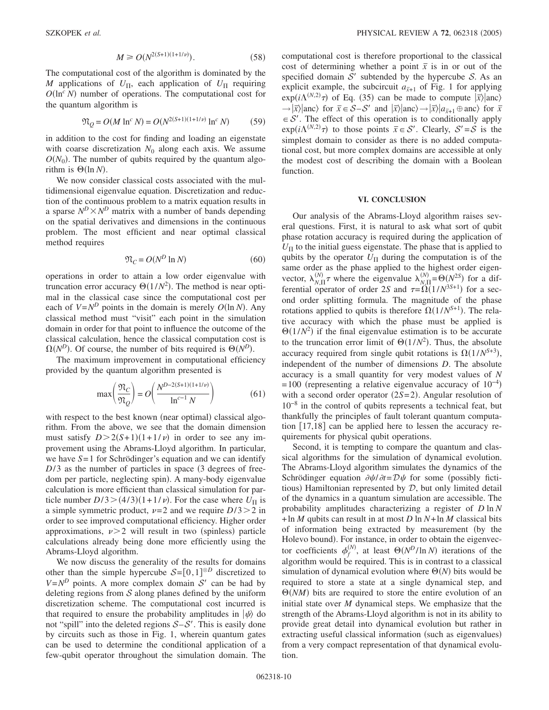$$
M \ge O(N^{2(S+1)(1+1/\nu)}).
$$
 (58)

The computational cost of the algorithm is dominated by the *M* applications of  $U_{\Pi}$ , each application of  $U_{\Pi}$  requiring  $O(\ln^c N)$  number of operations. The computational cost for the quantum algorithm is

$$
\mathfrak{N}_Q = O(M \ln^c N) = O(N^{2(S+1)(1+1/\nu)} \ln^c N) \tag{59}
$$

in addition to the cost for finding and loading an eigenstate with coarse discretization  $N_0$  along each axis. We assume  $O(N_0)$ . The number of qubits required by the quantum algorithm is  $\Theta(\ln N)$ .

We now consider classical costs associated with the multidimensional eigenvalue equation. Discretization and reduction of the continuous problem to a matrix equation results in a sparse  $N^D \times N^D$  matrix with a number of bands depending on the spatial derivatives and dimensions in the continuous problem. The most efficient and near optimal classical method requires

$$
\mathfrak{N}_C = O(N^D \ln N) \tag{60}
$$

operations in order to attain a low order eigenvalue with truncation error accuracy  $\Theta(1/N^2)$ . The method is near optimal in the classical case since the computational cost per each of  $V = N^D$  points in the domain is merely  $O(\ln N)$ . Any classical method must "visit" each point in the simulation domain in order for that point to influence the outcome of the classical calculation, hence the classical computation cost is  $\Omega(N^D)$ . Of course, the number of bits required is  $\Theta(N^D)$ .

The maximum improvement in computational efficiency provided by the quantum algorithm presented is

$$
\max\left(\frac{\mathfrak{N}_C}{\mathfrak{N}_Q}\right) = O\left(\frac{N^{D-2(S+1)(1+1/\nu)}}{\ln^{c-1} N}\right) \tag{61}
$$

with respect to the best known (near optimal) classical algorithm. From the above, we see that the domain dimension must satisfy  $D > 2(S+1)(1+1/\nu)$  in order to see any improvement using the Abrams-Lloyd algorithm. In particular, we have *S*= 1 for Schrödinger's equation and we can identify  $D/3$  as the number of particles in space  $(3$  degrees of freedom per particle, neglecting spin). A many-body eigenvalue calculation is more efficient than classical simulation for particle number  $D/3$  >  $(4/3)(1+1/\nu)$ . For the case where  $U_{\Pi}$  is a simple symmetric product,  $\nu = 2$  and we require  $D/3 > 2$  in order to see improved computational efficiency. Higher order approximations,  $\nu$  > 2 will result in two (spinless) particle calculations already being done more efficiently using the Abrams-Lloyd algorithm.

We now discuss the generality of the results for domains other than the simple hypercube  $S = [0,1]^{\otimes D}$  discretized to  $V = N^D$  points. A more complex domain S' can be had by deleting regions from  $S$  along planes defined by the uniform discretization scheme. The computational cost incurred is that required to ensure the probability amplitudes in  $|\psi\rangle$  do not "spill" into the deleted regions  $S-S'$ . This is easily done by circuits such as those in Fig. 1, wherein quantum gates can be used to determine the conditional application of a few-qubit operator throughout the simulation domain. The computational cost is therefore proportional to the classical cost of determining whether a point  $\bar{x}$  is in or out of the specified domain  $S'$  subtended by the hypercube S. As an explicit example, the subcircuit  $a_{\bar{x}+1}$  of Fig. 1 for applying  $\exp(i\Lambda^{(N,2)}\tau)$  of Eq. (35) can be made to compute  $|\overline{x}\rangle$  anc)  $\rightarrow |\overline{x}|$ anc) for  $\overline{x} \in S-S'$  and  $|\overline{x}|$ anc) $\rightarrow |\overline{x}|$  $a_{\overline{x}+1} \oplus$ anc) for  $\overline{x}$  $\in \mathcal{S}'$ . The effect of this operation is to conditionally apply  $\exp(i\Lambda^{(N,2)}\tau)$  to those points  $\bar{x} \in S'$ . Clearly,  $S' = S$  is the simplest domain to consider as there is no added computational cost, but more complex domains are accessible at only the modest cost of describing the domain with a Boolean function.

### **VI. CONCLUSION**

Our analysis of the Abrams-Lloyd algorithm raises several questions. First, it is natural to ask what sort of qubit phase rotation accuracy is required during the application of  $U_{\Pi}$  to the initial guess eigenstate. The phase that is applied to qubits by the operator  $U_{\Pi}$  during the computation is of the same order as the phase applied to the highest order eigenvector,  $\lambda_{N,\Pi}^{(N)} \tau$  where the eigenvalue  $\lambda_{N,\Pi}^{(N)} = \Theta(N^{2S})$  for a differential operator of order 2*S* and  $\tau = \Omega(1/N^{3S+1})$  for a second order splitting formula. The magnitude of the phase rotations applied to qubits is therefore  $\Omega(1/N^{S+1})$ . The relative accuracy with which the phase must be applied is  $\Theta(1/N^2)$  if the final eigenvalue estimation is to be accurate to the truncation error limit of  $\Theta(1/N^2)$ . Thus, the absolute accuracy required from single qubit rotations is  $\Omega(1/N^{S+3})$ , independent of the number of dimensions *D*. The absolute accuracy is a small quantity for very modest values of *N*  $= 100$  (representing a relative eigenvalue accuracy of  $10^{-4}$ ) with a second order operator  $(2S=2)$ . Angular resolution of  $10^{-8}$  in the control of qubits represents a technical feat, but thankfully the principles of fault tolerant quantum computation  $[17,18]$  can be applied here to lessen the accuracy requirements for physical qubit operations.

Second, it is tempting to compare the quantum and classical algorithms for the simulation of dynamical evolution. The Abrams-Lloyd algorithm simulates the dynamics of the Schrödinger equation  $\partial \psi / \partial t = D \psi$  for some (possibly fictitious) Hamiltonian represented by  $D$ , but only limited detail of the dynamics in a quantum simulation are accessible. The probability amplitudes characterizing a register of *D* ln *N* +ln *M* qubits can result in at most *D* ln *N*+ln *M* classical bits of information being extracted by measurement (by the Holevo bound). For instance, in order to obtain the eigenvector coefficients  $\phi_f^{(N)}$ , at least  $\Theta(N^D/\ln N)$  iterations of the algorithm would be required. This is in contrast to a classical simulation of dynamical evolution where  $\Theta(N)$  bits would be required to store a state at a single dynamical step, and  $\Theta(NM)$  bits are required to store the entire evolution of an initial state over *M* dynamical steps. We emphasize that the strength of the Abrams-Lloyd algorithm is not in its ability to provide great detail into dynamical evolution but rather in extracting useful classical information (such as eigenvalues) from a very compact representation of that dynamical evolution.